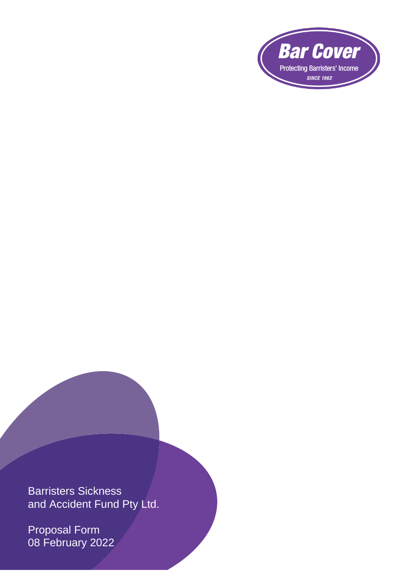

Barristers Sickness and Accident Fund Pty Ltd.

Proposal Form 08 February 2022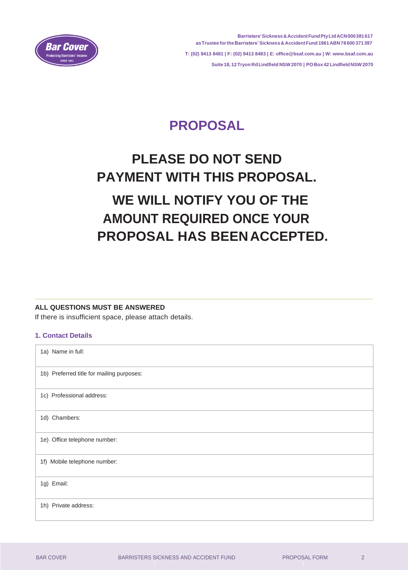

# **PROPOSAL**

# **PLEASE DO NOT SEND PAYMENT WITH THIS PROPOSAL. WE WILL NOTIFY YOU OF THE AMOUNT REQUIRED ONCE YOUR PROPOSAL HAS BEENACCEPTED.**

#### **ALL QUESTIONS MUST BE ANSWERED**

If there is insufficient space, please attach details.

#### **1. Contact Details**

| 1a) Name in full:                         |
|-------------------------------------------|
| 1b) Preferred title for mailing purposes: |
| 1c) Professional address:                 |
| 1d) Chambers:                             |
| 1e) Office telephone number:              |
| 1f) Mobile telephone number:              |
| 1g) Email:                                |
| 1h) Private address:                      |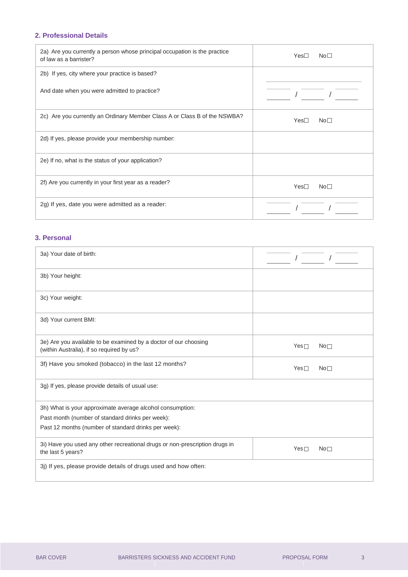## **2. Professional Details**

| 2a) Are you currently a person whose principal occupation is the practice<br>of law as a barrister? | No <sub>1</sub><br>$Yes-$           |
|-----------------------------------------------------------------------------------------------------|-------------------------------------|
| 2b) If yes, city where your practice is based?                                                      |                                     |
| And date when you were admitted to practice?                                                        |                                     |
| 2c) Are you currently an Ordinary Member Class A or Class B of the NSWBA?                           | Yes <sup>1</sup><br>No <sub>1</sub> |
| 2d) If yes, please provide your membership number:                                                  |                                     |
| 2e) If no, what is the status of your application?                                                  |                                     |
| 2f) Are you currently in your first year as a reader?                                               | Yes<br>No <sub>1</sub>              |
| 2g) If yes, date you were admitted as a reader:                                                     |                                     |

#### **3. Personal**

| 3a) Your date of birth:                                                                                       |                               |
|---------------------------------------------------------------------------------------------------------------|-------------------------------|
| 3b) Your height:                                                                                              |                               |
| 3c) Your weight:                                                                                              |                               |
| 3d) Your current BMI:                                                                                         |                               |
| 3e) Are you available to be examined by a doctor of our choosing<br>(within Australia), if so required by us? | $Yes\Box$<br>No <sub>1</sub>  |
| 3f) Have you smoked (tobacco) in the last 12 months?                                                          | $Yes \Box$<br>No <sub>1</sub> |
| 3g) If yes, please provide details of usual use:                                                              |                               |
| 3h) What is your approximate average alcohol consumption:                                                     |                               |
| Past month (number of standard drinks per week):                                                              |                               |
| Past 12 months (number of standard drinks per week):                                                          |                               |
| 3i) Have you used any other recreational drugs or non-prescription drugs in<br>the last 5 years?              | Yes<br>No <sub>1</sub>        |
| 3j) If yes, please provide details of drugs used and how often:                                               |                               |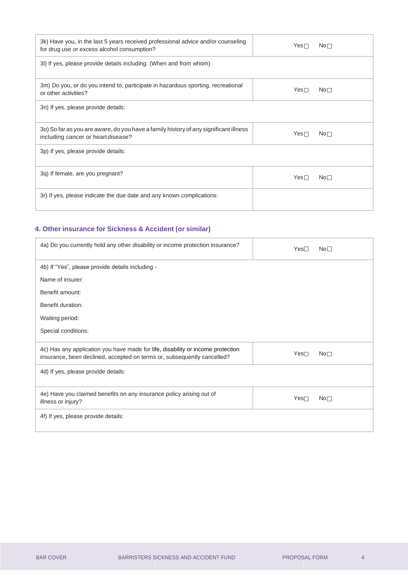| 3k) Have you, in the last 5 years received professional advice and/or counseling<br>for drug use or excess alcohol consumption? | $Yes \Box$       | No <sub>1</sub> |
|---------------------------------------------------------------------------------------------------------------------------------|------------------|-----------------|
| 3I) If yes, please provide details including: (When and from whom)                                                              |                  |                 |
| 3m) Do you, or do you intend to, participate in hazardous sporting, recreational<br>or other activities?                        | Yes <sub>1</sub> | No <sub>1</sub> |
| 3n) If yes, please provide details:                                                                                             |                  |                 |
| 3o) So far as you are aware, do you have a family history of any significant illness<br>including cancer or heart disease?      | $Yes \Box$       | No <sub>1</sub> |
| 3p) If yes, please provide details:                                                                                             |                  |                 |
| 3q) If female, are you pregnant?                                                                                                | $Yes\square$     | No <sub>1</sub> |
| 3r) If yes, please indicate the due date and any known complications:                                                           |                  |                 |

# **4. Other insurance for Sickness & Accident (or similar)**

| 4a) Do you currently hold any other disability or income protection insurance?                                                                             | Yes              | No <sub>1</sub> |
|------------------------------------------------------------------------------------------------------------------------------------------------------------|------------------|-----------------|
| 4b) If "Yes", please provide details including -                                                                                                           |                  |                 |
| Name of insurer:                                                                                                                                           |                  |                 |
| Benefit amount:                                                                                                                                            |                  |                 |
| Benefit duration:                                                                                                                                          |                  |                 |
| Waiting period:                                                                                                                                            |                  |                 |
| Special conditions:                                                                                                                                        |                  |                 |
| 4c) Has any application you have made for life, disability or income protection<br>insurance, been declined, accepted on terms or, subsequently cancelled? | Yes <sub>T</sub> | No <sub>1</sub> |
| 4d) If yes, please provide details:                                                                                                                        |                  |                 |
| 4e) Have you claimed benefits on any insurance policy arising out of<br>illness or injury?                                                                 | Yes <sub>T</sub> | No <sub>1</sub> |
| 4f) If yes, please provide details:                                                                                                                        |                  |                 |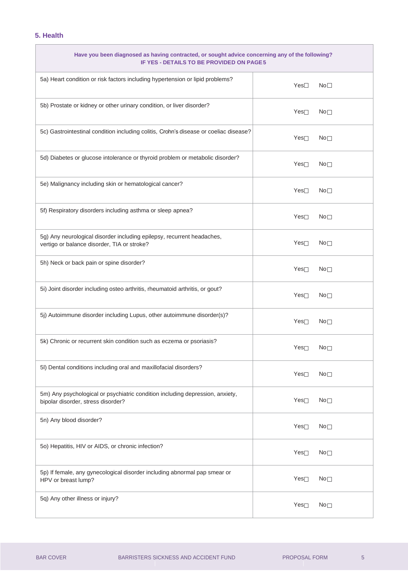### **5. Health**

'n

| Have you been diagnosed as having contracted, or sought advice concerning any of the following?<br>IF YES - DETAILS TO BE PROVIDED ON PAGE5 |                  |                 |
|---------------------------------------------------------------------------------------------------------------------------------------------|------------------|-----------------|
| 5a) Heart condition or risk factors including hypertension or lipid problems?                                                               | Yes              | $No-$           |
| 5b) Prostate or kidney or other urinary condition, or liver disorder?                                                                       | Yes              | No <sub>1</sub> |
| 5c) Gastrointestinal condition including colitis, Crohn's disease or coeliac disease?                                                       | Yes <sub>1</sub> | No <sub>1</sub> |
| 5d) Diabetes or glucose intolerance or thyroid problem or metabolic disorder?                                                               | Yes              | No <sub>1</sub> |
| 5e) Malignancy including skin or hematological cancer?                                                                                      | Yes              | No <sub>1</sub> |
| 5f) Respiratory disorders including asthma or sleep apnea?                                                                                  | Yes              | No <sub>1</sub> |
| 5g) Any neurological disorder including epilepsy, recurrent headaches,<br>vertigo or balance disorder, TIA or stroke?                       | Yes              | No <sub>1</sub> |
| 5h) Neck or back pain or spine disorder?                                                                                                    | Yes              | No <sub>1</sub> |
| 5i) Joint disorder including osteo arthritis, rheumatoid arthritis, or gout?                                                                | Yes              | No <sub>1</sub> |
| 5j) Autoimmune disorder including Lupus, other autoimmune disorder(s)?                                                                      | Yes <sub>1</sub> | No <sub>1</sub> |
| 5k) Chronic or recurrent skin condition such as eczema or psoriasis?                                                                        | Yes              | No <sub>1</sub> |
| 5I) Dental conditions including oral and maxillofacial disorders?                                                                           | Yes              | No <sub>1</sub> |
| 5m) Any psychological or psychiatric condition including depression, anxiety,<br>bipolar disorder, stress disorder?                         | Yes              | No <sub>1</sub> |
| 5n) Any blood disorder?                                                                                                                     | Yes              | No <sub>1</sub> |
| 50) Hepatitis, HIV or AIDS, or chronic infection?                                                                                           | Yes              | No <sub>1</sub> |
| 5p) If female, any gynecological disorder including abnormal pap smear or<br>HPV or breast lump?                                            | $Yes \Box$       | No <sub>1</sub> |
| 5q) Any other illness or injury?                                                                                                            | Yes              | No <sub>1</sub> |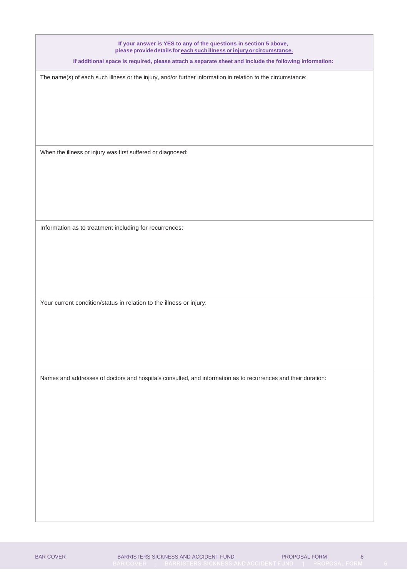**If your answer is YES to any of the questions in section 5 above, please providedetails for each such illness orinjuryor circumstance.**

**If additional space is required, please attach a separate sheet and include the following information:**

The name(s) of each such illness or the injury, and/or further information in relation to the circumstance:

When the illness or injury was first suffered or diagnosed:

Information as to treatment including for recurrences:

Your current condition/status in relation to the illness or injury:

Names and addresses of doctors and hospitals consulted, and information as to recurrences and their duration: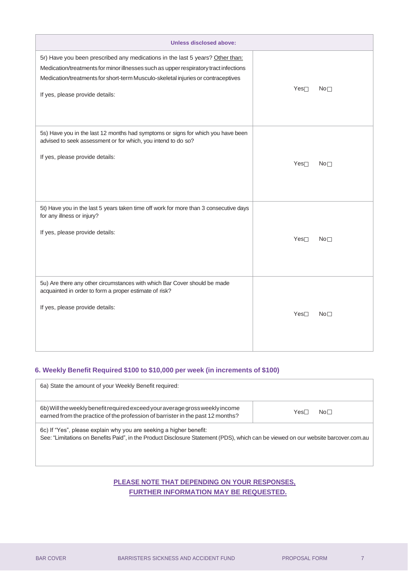| <b>Unless disclosed above:</b>                                                                                                                                                                                                                                                               |                  |                 |
|----------------------------------------------------------------------------------------------------------------------------------------------------------------------------------------------------------------------------------------------------------------------------------------------|------------------|-----------------|
| 5r) Have you been prescribed any medications in the last 5 years? Other than:<br>Medication/treatments for minor illnesses such as upper respiratory tract infections<br>Medication/treatments for short-term Musculo-skeletal injuries or contraceptives<br>If yes, please provide details: | Yes <sub>T</sub> | No <sub>1</sub> |
| 5s) Have you in the last 12 months had symptoms or signs for which you have been<br>advised to seek assessment or for which, you intend to do so?<br>If yes, please provide details:                                                                                                         | Yes              | No <sub>1</sub> |
| 5t) Have you in the last 5 years taken time off work for more than 3 consecutive days<br>for any illness or injury?<br>If yes, please provide details:                                                                                                                                       | Yes              | No <sub>1</sub> |
| 5u) Are there any other circumstances with which Bar Cover should be made<br>acquainted in order to form a proper estimate of risk?<br>If yes, please provide details:                                                                                                                       | Yes <sub>T</sub> | No <sub>1</sub> |

#### **6. Weekly Benefit Required \$100 to \$10,000 per week (in increments of \$100)**

| 6a) State the amount of your Weekly Benefit required:                                                                                                                                                    |      |                 |
|----------------------------------------------------------------------------------------------------------------------------------------------------------------------------------------------------------|------|-----------------|
| 6b) Will the weekly benefit required exceed your average gross weekly income<br>earned from the practice of the profession of barrister in the past 12 months?                                           | Yes∟ | No <sub>1</sub> |
| 6c) If "Yes", please explain why you are seeking a higher benefit:<br>See: "Limitations on Benefits Paid", in the Product Disclosure Statement (PDS), which can be viewed on our website barcover.com.au |      |                 |

# **PLEASE NOTE THAT DEPENDING ON YOUR RESPONSES, FURTHER INFORMATION MAY BE REQUESTED.**